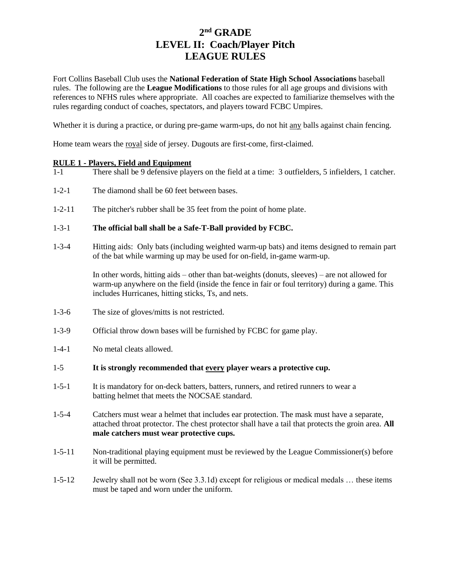Fort Collins Baseball Club uses the **National Federation of State High School Associations** baseball rules. The following are the **League Modifications** to those rules for all age groups and divisions with references to NFHS rules where appropriate. All coaches are expected to familiarize themselves with the rules regarding conduct of coaches, spectators, and players toward FCBC Umpires.

Whether it is during a practice, or during pre-game warm-ups, do not hit any balls against chain fencing.

Home team wears the royal side of jersey. Dugouts are first-come, first-claimed.

### **RULE 1 - Players, Field and Equipment**

- 1-1 There shall be 9 defensive players on the field at a time: 3 outfielders, 5 infielders, 1 catcher.
- 1-2-1 The diamond shall be 60 feet between bases.
- 1-2-11 The pitcher's rubber shall be 35 feet from the point of home plate.

### 1-3-1 **The official ball shall be a Safe-T-Ball provided by FCBC.**

1-3-4 Hitting aids: Only bats (including weighted warm-up bats) and items designed to remain part of the bat while warming up may be used for on-field, in-game warm-up.

> In other words, hitting aids – other than bat-weights (donuts, sleeves) – are not allowed for warm-up anywhere on the field (inside the fence in fair or foul territory) during a game. This includes Hurricanes, hitting sticks, Ts, and nets.

- 1-3-6 The size of gloves/mitts is not restricted.
- 1-3-9 Official throw down bases will be furnished by FCBC for game play.
- 1-4-1 No metal cleats allowed.

### 1-5 **It is strongly recommended that every player wears a protective cup.**

- 1-5-1 It is mandatory for on-deck batters, batters, runners, and retired runners to wear a batting helmet that meets the NOCSAE standard.
- 1-5-4 Catchers must wear a helmet that includes ear protection. The mask must have a separate, attached throat protector. The chest protector shall have a tail that protects the groin area. **All male catchers must wear protective cups.**
- 1-5-11 Non-traditional playing equipment must be reviewed by the League Commissioner(s) before it will be permitted.
- 1-5-12 Jewelry shall not be worn (See 3.3.1d) except for religious or medical medals … these items must be taped and worn under the uniform.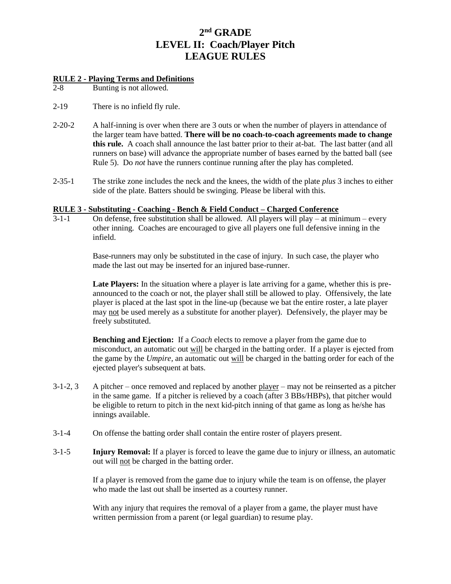### **RULE 2 - Playing Terms and Definitions**

2-8 Bunting is not allowed.

- 2-19 There is no infield fly rule.
- 2-20-2 A half-inning is over when there are 3 outs or when the number of players in attendance of the larger team have batted. **There will be no coach-to-coach agreements made to change this rule.** A coach shall announce the last batter prior to their at-bat. The last batter (and all runners on base) will advance the appropriate number of bases earned by the batted ball (see Rule 5). Do *not* have the runners continue running after the play has completed.
- 2-35-1 The strike zone includes the neck and the knees, the width of the plate *plus* 3 inches to either side of the plate. Batters should be swinging. Please be liberal with this.

### **RULE 3 - Substituting - Coaching - Bench & Field Conduct – Charged Conference**

 $3-1-1$  On defense, free substitution shall be allowed. All players will play – at minimum – every other inning. Coaches are encouraged to give all players one full defensive inning in the infield.

> Base-runners may only be substituted in the case of injury. In such case, the player who made the last out may be inserted for an injured base-runner.

Late Players: In the situation where a player is late arriving for a game, whether this is preannounced to the coach or not, the player shall still be allowed to play. Offensively, the late player is placed at the last spot in the line-up (because we bat the entire roster, a late player may not be used merely as a substitute for another player). Defensively, the player may be freely substituted.

**Benching and Ejection:** If a *Coach* elects to remove a player from the game due to misconduct, an automatic out will be charged in the batting order. If a player is ejected from the game by the *Umpire,* an automatic out will be charged in the batting order for each of the ejected player's subsequent at bats.

- 3-1-2, 3 A pitcher once removed and replaced by another player may not be reinserted as a pitcher in the same game. If a pitcher is relieved by a coach (after 3 BBs/HBPs), that pitcher would be eligible to return to pitch in the next kid-pitch inning of that game as long as he/she has innings available.
- 3-1-4 On offense the batting order shall contain the entire roster of players present.
- 3-1-5 **Injury Removal:** If a player is forced to leave the game due to injury or illness, an automatic out will not be charged in the batting order.

If a player is removed from the game due to injury while the team is on offense, the player who made the last out shall be inserted as a courtesy runner.

With any injury that requires the removal of a player from a game, the player must have written permission from a parent (or legal guardian) to resume play.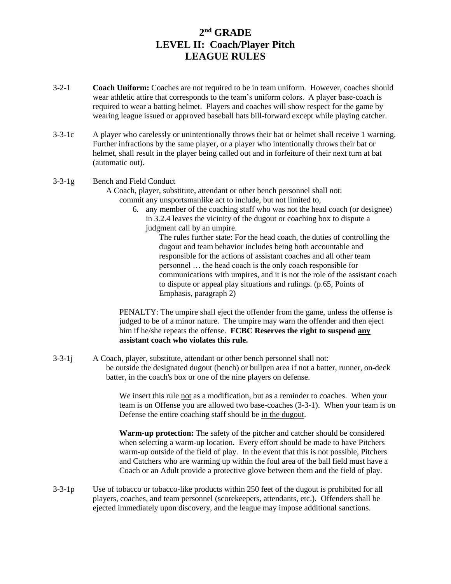- 3-2-1 **Coach Uniform:** Coaches are not required to be in team uniform. However, coaches should wear athletic attire that corresponds to the team's uniform colors. A player base-coach is required to wear a batting helmet. Players and coaches will show respect for the game by wearing league issued or approved baseball hats bill-forward except while playing catcher.
- 3-3-1c A player who carelessly or unintentionally throws their bat or helmet shall receive 1 warning. Further infractions by the same player, or a player who intentionally throws their bat or helmet, shall result in the player being called out and in forfeiture of their next turn at bat (automatic out).

#### 3-3-1g Bench and Field Conduct

- A Coach, player, substitute, attendant or other bench personnel shall not: commit any unsportsmanlike act to include, but not limited to,
	- 6. any member of the coaching staff who was not the head coach (or designee) in 3.2.4 leaves the vicinity of the dugout or coaching box to dispute a judgment call by an umpire.

The rules further state: For the head coach, the duties of controlling the dugout and team behavior includes being both accountable and responsible for the actions of assistant coaches and all other team personnel … the head coach is the only coach responsible for communications with umpires, and it is not the role of the assistant coach to dispute or appeal play situations and rulings. (p.65, Points of Emphasis, paragraph 2)

PENALTY: The umpire shall eject the offender from the game, unless the offense is judged to be of a minor nature. The umpire may warn the offender and then eject him if he/she repeats the offense. **FCBC Reserves the right to suspend any assistant coach who violates this rule.**

3-3-1j A Coach, player, substitute, attendant or other bench personnel shall not: be outside the designated dugout (bench) or bullpen area if not a batter, runner, on-deck batter, in the coach's box or one of the nine players on defense.

> We insert this rule not as a modification, but as a reminder to coaches. When your team is on Offense you are allowed two base-coaches (3-3-1). When your team is on Defense the entire coaching staff should be in the dugout.

**Warm-up protection:** The safety of the pitcher and catcher should be considered when selecting a warm-up location. Every effort should be made to have Pitchers warm-up outside of the field of play. In the event that this is not possible, Pitchers and Catchers who are warming up within the foul area of the ball field must have a Coach or an Adult provide a protective glove between them and the field of play.

3-3-1p Use of tobacco or tobacco-like products within 250 feet of the dugout is prohibited for all players, coaches, and team personnel (scorekeepers, attendants, etc.). Offenders shall be ejected immediately upon discovery, and the league may impose additional sanctions.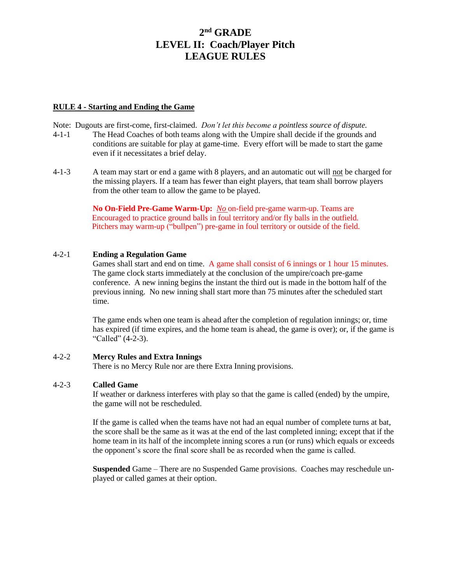#### **RULE 4 - Starting and Ending the Game**

Note: Dugouts are first-come, first-claimed. *Don't let this become a pointless source of dispute.*

- 4-1-1 The Head Coaches of both teams along with the Umpire shall decide if the grounds and conditions are suitable for play at game-time. Every effort will be made to start the game even if it necessitates a brief delay.
- 4-1-3 A team may start or end a game with 8 players, and an automatic out will not be charged for the missing players. If a team has fewer than eight players, that team shall borrow players from the other team to allow the game to be played.

**No On-Field Pre-Game Warm-Up:** *No* on-field pre-game warm-up. Teams are Encouraged to practice ground balls in foul territory and/or fly balls in the outfield. Pitchers may warm-up ("bullpen") pre-game in foul territory or outside of the field.

### 4-2-1 **Ending a Regulation Game**

Games shall start and end on time. A game shall consist of 6 innings or 1 hour 15 minutes. The game clock starts immediately at the conclusion of the umpire/coach pre-game conference. A new inning begins the instant the third out is made in the bottom half of the previous inning. No new inning shall start more than 75 minutes after the scheduled start time.

The game ends when one team is ahead after the completion of regulation innings; or, time has expired (if time expires, and the home team is ahead, the game is over); or, if the game is "Called" (4-2-3).

### 4-2-2 **Mercy Rules and Extra Innings**

There is no Mercy Rule nor are there Extra Inning provisions.

### 4-2-3 **Called Game**

If weather or darkness interferes with play so that the game is called (ended) by the umpire, the game will not be rescheduled.

If the game is called when the teams have not had an equal number of complete turns at bat, the score shall be the same as it was at the end of the last completed inning; except that if the home team in its half of the incomplete inning scores a run (or runs) which equals or exceeds the opponent's score the final score shall be as recorded when the game is called.

**Suspended** Game – There are no Suspended Game provisions. Coaches may reschedule unplayed or called games at their option.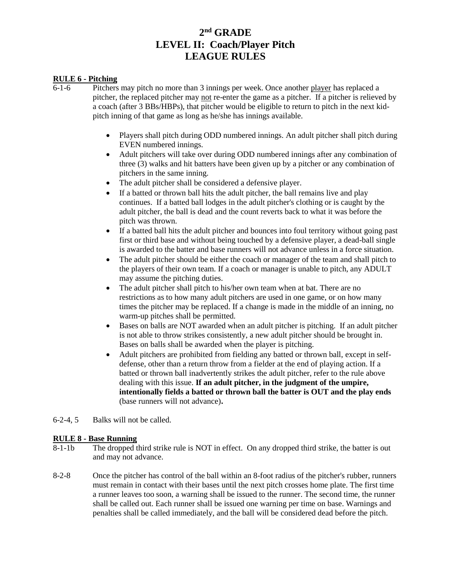### **RULE 6 - Pitching**

- 6-1-6 Pitchers may pitch no more than 3 innings per week. Once another player has replaced a pitcher, the replaced pitcher may not re-enter the game as a pitcher. If a pitcher is relieved by a coach (after 3 BBs/HBPs), that pitcher would be eligible to return to pitch in the next kidpitch inning of that game as long as he/she has innings available.
	- Players shall pitch during ODD numbered innings. An adult pitcher shall pitch during EVEN numbered innings.
	- Adult pitchers will take over during ODD numbered innings after any combination of three (3) walks and hit batters have been given up by a pitcher or any combination of pitchers in the same inning.
	- The adult pitcher shall be considered a defensive player.
	- If a batted or thrown ball hits the adult pitcher, the ball remains live and play continues. If a batted ball lodges in the adult pitcher's clothing or is caught by the adult pitcher, the ball is dead and the count reverts back to what it was before the pitch was thrown.
	- If a batted ball hits the adult pitcher and bounces into foul territory without going past first or third base and without being touched by a defensive player, a dead-ball single is awarded to the batter and base runners will not advance unless in a force situation.
	- The adult pitcher should be either the coach or manager of the team and shall pitch to the players of their own team. If a coach or manager is unable to pitch, any ADULT may assume the pitching duties.
	- The adult pitcher shall pitch to his/her own team when at bat. There are no restrictions as to how many adult pitchers are used in one game, or on how many times the pitcher may be replaced. If a change is made in the middle of an inning, no warm-up pitches shall be permitted.
	- Bases on balls are NOT awarded when an adult pitcher is pitching. If an adult pitcher is not able to throw strikes consistently, a new adult pitcher should be brought in. Bases on balls shall be awarded when the player is pitching.
	- Adult pitchers are prohibited from fielding any batted or thrown ball, except in selfdefense, other than a return throw from a fielder at the end of playing action. If a batted or thrown ball inadvertently strikes the adult pitcher, refer to the rule above dealing with this issue. **If an adult pitcher, in the judgment of the umpire, intentionally fields a batted or thrown ball the batter is OUT and the play ends** (base runners will not advance)**.**
- 6-2-4, 5 Balks will not be called.

### **RULE 8 - Base Running**

- 8-1-1b The dropped third strike rule is NOT in effect. On any dropped third strike, the batter is out and may not advance.
- 8-2-8 Once the pitcher has control of the ball within an 8-foot radius of the pitcher's rubber, runners must remain in contact with their bases until the next pitch crosses home plate. The first time a runner leaves too soon, a warning shall be issued to the runner. The second time, the runner shall be called out. Each runner shall be issued one warning per time on base. Warnings and penalties shall be called immediately, and the ball will be considered dead before the pitch.